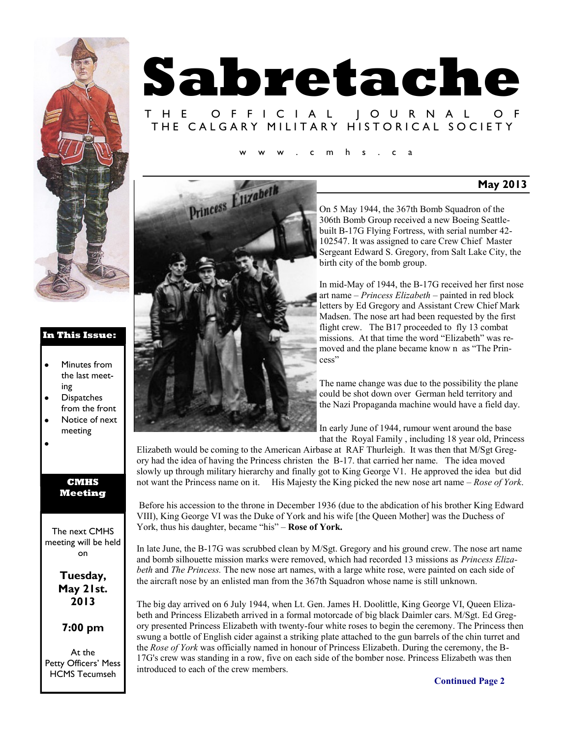

#### **In This Issue:**

- $\bullet$ Minutes from the last meeting
- **Dispatches** from the front
- Notice of next meeting
- 

#### **CMHS Meeting**

The next CMHS meeting will be held on

> **Tuesday, May 21st. 2013**

#### **7:00 pm**

At the Petty Officers' Mess HCMS Tecumseh

# **Sabretache** T H E O F F I C I A L J O U R N A L THE CALGARY MILITARY HISTORICAL SOCIETY

 $m$  h s . c a



On 5 May 1944, the 367th Bomb Squadron of the 306th Bomb Group received a new Boeing Seattlebuilt B-17G Flying Fortress, with serial number 42- 102547. It was assigned to care Crew Chief Master Sergeant Edward S. Gregory, from Salt Lake City, the birth city of the bomb group.

**May 2013**

In mid-May of 1944, the B-17G received her first nose art name *– Princess Elizabeth* – painted in red block letters by Ed Gregory and Assistant Crew Chief Mark Madsen. The nose art had been requested by the first flight crew. The B17 proceeded to fly 13 combat missions. At that time the word "Elizabeth" was removed and the plane became know n as "The Princess"

The name change was due to the possibility the plane could be shot down over German held territory and the Nazi Propaganda machine would have a field day.

In early June of 1944, rumour went around the base that the Royal Family , including 18 year old, Princess

Elizabeth would be coming to the American Airbase at RAF Thurleigh. It was then that M/Sgt Gregory had the idea of having the Princess christen the B-17. that carried her name. The idea moved slowly up through military hierarchy and finally got to King George V1. He approved the idea but did not want the Princess name on it. His Majesty the King picked the new nose art name – *Rose of York*.

Before his accession to the throne in December 1936 (due to the abdication of his brother King Edward VIII), King George VI was the Duke of York and his wife [the Queen Mother] was the Duchess of York, thus his daughter, became "his" – **Rose of York.** 

In late June, the B-17G was scrubbed clean by M/Sgt. Gregory and his ground crew. The nose art name and bomb silhouette mission marks were removed, which had recorded 13 missions as *Princess Elizabeth* and *The Princess.* The new nose art names, with a large white rose, were painted on each side of the aircraft nose by an enlisted man from the 367th Squadron whose name is still unknown.

The big day arrived on 6 July 1944, when Lt. Gen. James H. Doolittle, King George VI, Queen Elizabeth and Princess Elizabeth arrived in a formal motorcade of big black Daimler cars. M/Sgt. Ed Gregory presented Princess Elizabeth with twenty-four white roses to begin the ceremony. The Princess then swung a bottle of English cider against a striking plate attached to the gun barrels of the chin turret and the *Rose of York* was officially named in honour of Princess Elizabeth. During the ceremony, the B-17G's crew was standing in a row, five on each side of the bomber nose. Princess Elizabeth was then introduced to each of the crew members.

**Continued Page 2**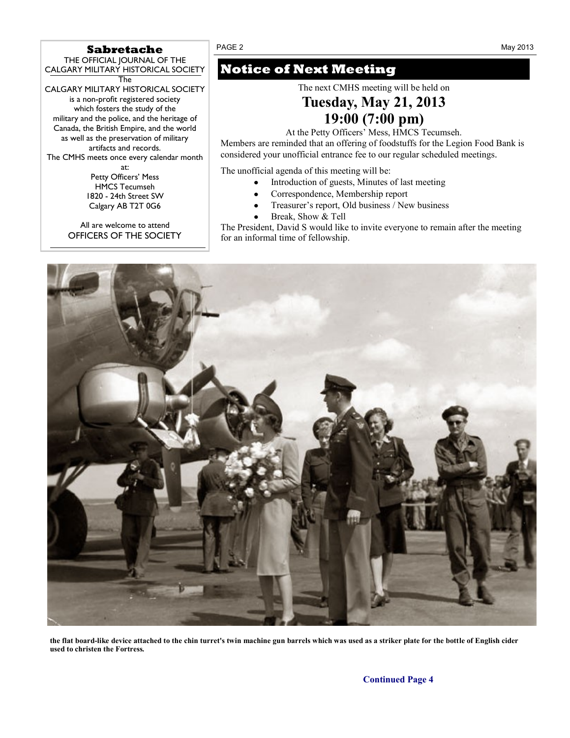## Sabretache PAGE 2 May 2013

THE OFFICIAL JOURNAL OF THE CALGARY MILITARY HISTORICAL SOCIETY

The CALGARY MILITARY HISTORICAL SOCIETY is a non-profit registered society which fosters the study of the military and the police, and the heritage of Canada, the British Empire, and the world as well as the preservation of military artifacts and records. The CMHS meets once every calendar month at:

Petty Officers' Mess HMCS Tecumseh 1820 - 24th Street SW Calgary AB T2T 0G6

All are welcome to attend OFFICERS OF THE SOCIETY

## **Notice of Next Meeting**

The next CMHS meeting will be held on

## **Tuesday, May 21, 2013 19:00 (7:00 pm)**

At the Petty Officers' Mess, HMCS Tecumseh.

Members are reminded that an offering of foodstuffs for the Legion Food Bank is considered your unofficial entrance fee to our regular scheduled meetings*.*

The unofficial agenda of this meeting will be:

- Introduction of guests, Minutes of last meeting  $\bullet$
- Correspondence, Membership report
- Treasurer's report, Old business / New business
- Break, Show & Tell

The President, David S would like to invite everyone to remain after the meeting for an informal time of fellowship.



**the flat board-like device attached to the chin turret's twin machine gun barrels which was used as a striker plate for the bottle of English cider used to christen the Fortress***.*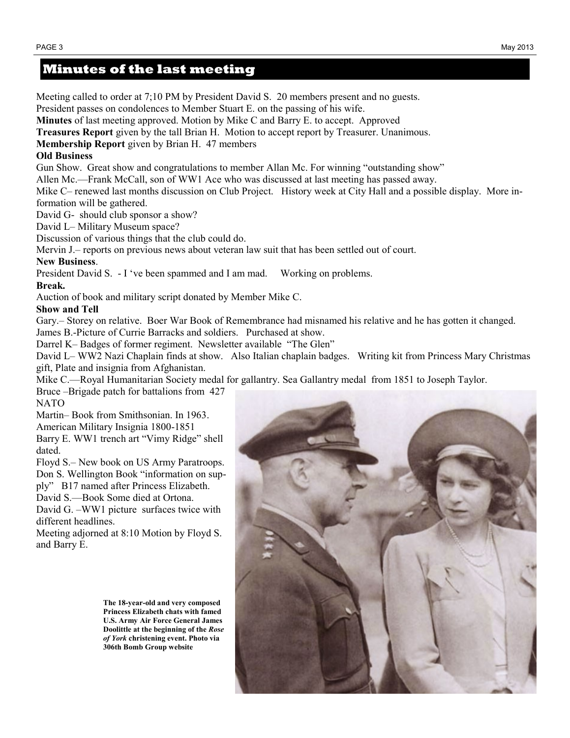### **Minutes of the last meeting**

Meeting called to order at 7;10 PM by President David S. 20 members present and no guests. President passes on condolences to Member Stuart E. on the passing of his wife. **Minutes** of last meeting approved. Motion by Mike C and Barry E. to accept. Approved **Treasures Report** given by the tall Brian H. Motion to accept report by Treasurer. Unanimous. **Membership Report** given by Brian H. 47 members **Old Business** Gun Show. Great show and congratulations to member Allan Mc. For winning "outstanding show" Allen Mc.—Frank McCall, son of WW1 Ace who was discussed at last meeting has passed away. Mike C– renewed last months discussion on Club Project. History week at City Hall and a possible display. More information will be gathered. David G- should club sponsor a show? David L– Military Museum space? Discussion of various things that the club could do. Mervin J.– reports on previous news about veteran law suit that has been settled out of court. **New Business**. President David S. - I ‗ve been spammed and I am mad. Working on problems. **Break.** Auction of book and military script donated by Member Mike C. **Show and Tell** Gary.– Storey on relative. Boer War Book of Remembrance had misnamed his relative and he has gotten it changed. James B.-Picture of Currie Barracks and soldiers. Purchased at show. Darrel K– Badges of former regiment. Newsletter available "The Glen" David L– WW2 Nazi Chaplain finds at show. Also Italian chaplain badges. Writing kit from Princess Mary Christmas gift, Plate and insignia from Afghanistan. Mike C.—Royal Humanitarian Society medal for gallantry. Sea Gallantry medal from 1851 to Joseph Taylor. Bruce –Brigade patch for battalions from 427 NATO

Martin– Book from Smithsonian. In 1963.

American Military Insignia 1800-1851

Barry E. WW1 trench art "Vimy Ridge" shell dated.

Floyd S.– New book on US Army Paratroops. Don S. Wellington Book "information on sup-

ply‖ B17 named after Princess Elizabeth.

David S.—Book Some died at Ortona.

David G. –WW1 picture surfaces twice with different headlines.

Meeting adjorned at 8:10 Motion by Floyd S. and Barry E.

> **The 18-year-old and very composed Princess Elizabeth chats with famed U.S. Army Air Force General James Doolittle at the beginning of the** *Rose of York* **christening event. Photo via 306th Bomb Group website**